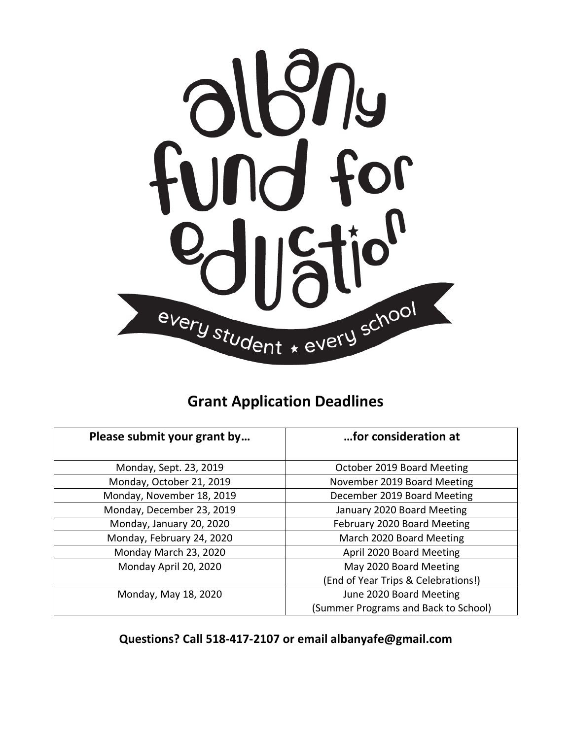

## **Grant Application Deadlines**

| Please submit your grant by | for consideration at                 |
|-----------------------------|--------------------------------------|
| Monday, Sept. 23, 2019      | October 2019 Board Meeting           |
| Monday, October 21, 2019    | November 2019 Board Meeting          |
| Monday, November 18, 2019   | December 2019 Board Meeting          |
| Monday, December 23, 2019   | January 2020 Board Meeting           |
| Monday, January 20, 2020    | February 2020 Board Meeting          |
| Monday, February 24, 2020   | March 2020 Board Meeting             |
| Monday March 23, 2020       | April 2020 Board Meeting             |
| Monday April 20, 2020       | May 2020 Board Meeting               |
|                             | (End of Year Trips & Celebrations!)  |
| Monday, May 18, 2020        | June 2020 Board Meeting              |
|                             | (Summer Programs and Back to School) |

**Questions? Call 518-417-2107 or email albanyafe@gmail.com**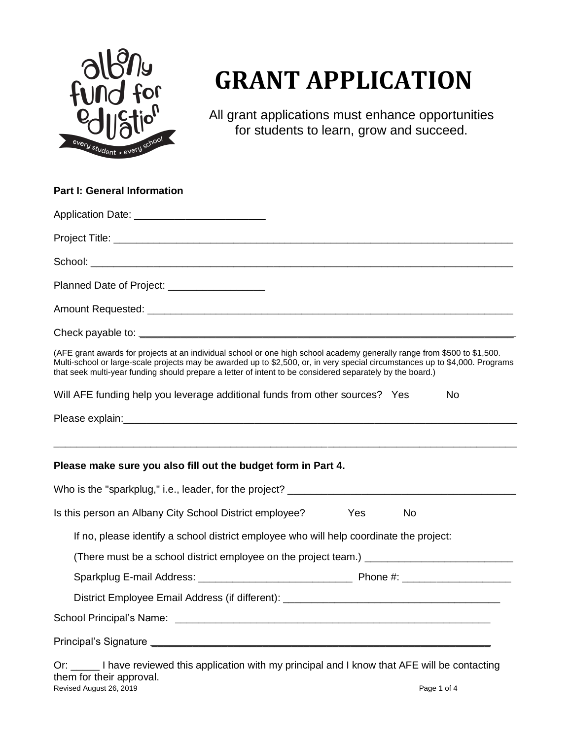

# **GRANT APPLICATION**

All grant applications must enhance opportunities for students to learn, grow and succeed.

| <b>Part I: General Information</b>                                                                                                                                                                                                                                                                                                                                    |
|-----------------------------------------------------------------------------------------------------------------------------------------------------------------------------------------------------------------------------------------------------------------------------------------------------------------------------------------------------------------------|
| Application Date: ____________________________                                                                                                                                                                                                                                                                                                                        |
|                                                                                                                                                                                                                                                                                                                                                                       |
|                                                                                                                                                                                                                                                                                                                                                                       |
| Planned Date of Project: _________________                                                                                                                                                                                                                                                                                                                            |
|                                                                                                                                                                                                                                                                                                                                                                       |
|                                                                                                                                                                                                                                                                                                                                                                       |
| (AFE grant awards for projects at an individual school or one high school academy generally range from \$500 to \$1,500.<br>Multi-school or large-scale projects may be awarded up to \$2,500, or, in very special circumstances up to \$4,000. Programs<br>that seek multi-year funding should prepare a letter of intent to be considered separately by the board.) |
| Will AFE funding help you leverage additional funds from other sources? Yes<br>No                                                                                                                                                                                                                                                                                     |
|                                                                                                                                                                                                                                                                                                                                                                       |
| Please make sure you also fill out the budget form in Part 4.                                                                                                                                                                                                                                                                                                         |
|                                                                                                                                                                                                                                                                                                                                                                       |
| Is this person an Albany City School District employee?<br>Yes<br>No.                                                                                                                                                                                                                                                                                                 |
| If no, please identify a school district employee who will help coordinate the project:                                                                                                                                                                                                                                                                               |
| (There must be a school district employee on the project team.) _______________________                                                                                                                                                                                                                                                                               |
|                                                                                                                                                                                                                                                                                                                                                                       |
| District Employee Email Address (if different): ________________________________                                                                                                                                                                                                                                                                                      |
|                                                                                                                                                                                                                                                                                                                                                                       |
|                                                                                                                                                                                                                                                                                                                                                                       |
| Or: _____ I have reviewed this application with my principal and I know that AFE will be contacting                                                                                                                                                                                                                                                                   |

Revised August 26, 2019 **Page 1 of 4** them for their approval.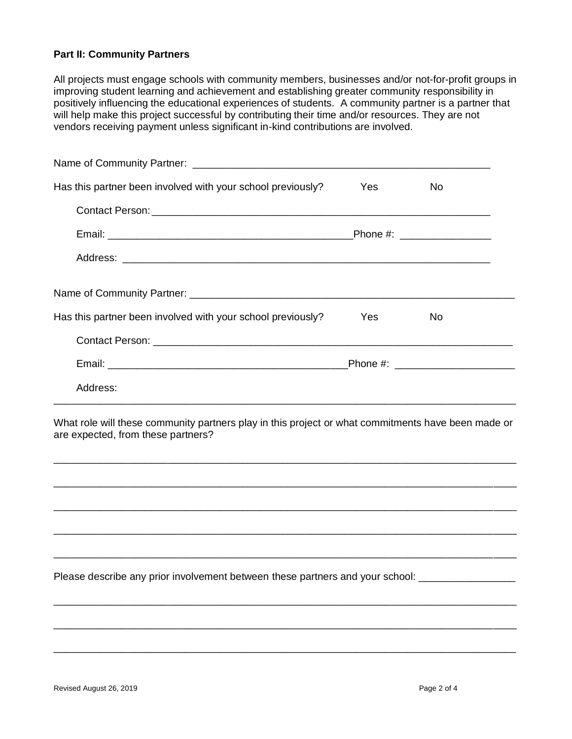#### **Part II: Community Partners**

All projects must engage schools with community members, businesses and/or not-for-profit groups in improving student learning and achievement and establishing greater community responsibility in positively influencing the educational experiences of students. A community partner is a partner that will help make this project successful by contributing their time and/or resources. They are not vendors receiving payment unless significant in-kind contributions are involved.

| Has this partner been involved with your school previously?                                                                                                                                                                    | <b>Yes</b> | No. |
|--------------------------------------------------------------------------------------------------------------------------------------------------------------------------------------------------------------------------------|------------|-----|
| Contact Person: Note and Security and Security and Security and Security and Security and Security and Security and Security and Security and Security and Security and Security and Security and Security and Security and Se |            |     |
|                                                                                                                                                                                                                                |            |     |
|                                                                                                                                                                                                                                |            |     |
|                                                                                                                                                                                                                                |            |     |
| Has this partner been involved with your school previously?                                                                                                                                                                    | Yes        | No  |
|                                                                                                                                                                                                                                |            |     |
|                                                                                                                                                                                                                                |            |     |
| Address:                                                                                                                                                                                                                       |            |     |
| What role will these community partners play in this project or what commitments have been made or<br>are expected, from these partners?                                                                                       |            |     |
|                                                                                                                                                                                                                                |            |     |
| <u> 1990 - John Stone, Amerikaansk politiker (* 1900)</u>                                                                                                                                                                      |            |     |
| <u> 1989 - Johann Harry Harry Harry Harry Harry Harry Harry Harry Harry Harry Harry Harry Harry Harry Harry Harry</u>                                                                                                          |            |     |
|                                                                                                                                                                                                                                |            |     |
|                                                                                                                                                                                                                                |            |     |

\_\_\_\_\_\_\_\_\_\_\_\_\_\_\_\_\_\_\_\_\_\_\_\_\_\_\_\_\_\_\_\_\_\_\_\_\_\_\_\_\_\_\_\_\_\_\_\_\_\_\_\_\_\_\_\_\_\_\_\_\_\_\_\_\_\_\_\_\_\_\_\_\_\_\_\_\_\_\_\_\_

\_\_\_\_\_\_\_\_\_\_\_\_\_\_\_\_\_\_\_\_\_\_\_\_\_\_\_\_\_\_\_\_\_\_\_\_\_\_\_\_\_\_\_\_\_\_\_\_\_\_\_\_\_\_\_\_\_\_\_\_\_\_\_\_\_\_\_\_\_\_\_\_\_\_\_\_\_\_\_\_\_

\_\_\_\_\_\_\_\_\_\_\_\_\_\_\_\_\_\_\_\_\_\_\_\_\_\_\_\_\_\_\_\_\_\_\_\_\_\_\_\_\_\_\_\_\_\_\_\_\_\_\_\_\_\_\_\_\_\_\_\_\_\_\_\_\_\_\_\_\_\_\_\_\_\_\_\_\_\_\_\_\_

Please describe any prior involvement between these partners and your school: \_\_\_\_\_\_\_\_\_\_\_\_\_\_\_\_\_\_\_\_\_\_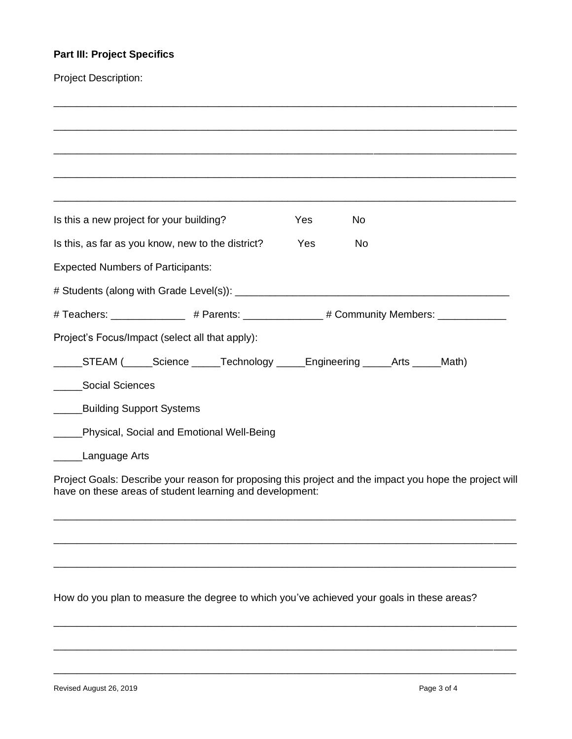### **Part III: Project Specifics**

| <b>Project Description:</b>                                                                             |     |    |                                                                                                                       |  |
|---------------------------------------------------------------------------------------------------------|-----|----|-----------------------------------------------------------------------------------------------------------------------|--|
|                                                                                                         |     |    |                                                                                                                       |  |
|                                                                                                         |     |    |                                                                                                                       |  |
|                                                                                                         |     |    |                                                                                                                       |  |
|                                                                                                         |     |    |                                                                                                                       |  |
|                                                                                                         |     |    | <u> 1989 - Johann Harry Harry Harry Harry Harry Harry Harry Harry Harry Harry Harry Harry Harry Harry Harry Harry</u> |  |
| Is this a new project for your building?                                                                | Yes | No |                                                                                                                       |  |
| Is this, as far as you know, new to the district?                                                       | Yes | No |                                                                                                                       |  |
| <b>Expected Numbers of Participants:</b>                                                                |     |    |                                                                                                                       |  |
|                                                                                                         |     |    |                                                                                                                       |  |
| # Teachers: ______________ # Parents: _____________ # Community Members: ___________                    |     |    |                                                                                                                       |  |
| Project's Focus/Impact (select all that apply):                                                         |     |    |                                                                                                                       |  |
| _____STEAM (_____Science _____Technology _____Engineering _____Arts _____Math)                          |     |    |                                                                                                                       |  |
| Social Sciences<br>$\overline{\phantom{a}}$                                                             |     |    |                                                                                                                       |  |
| <b>Building Support Systems</b><br>$\frac{1}{2}$                                                        |     |    |                                                                                                                       |  |
| Physical, Social and Emotional Well-Being                                                               |     |    |                                                                                                                       |  |
| Language Arts                                                                                           |     |    |                                                                                                                       |  |
| Project Goals: Describe your reason for proposing this project and the impact you hope the project will |     |    |                                                                                                                       |  |
| have on these areas of student learning and development:                                                |     |    |                                                                                                                       |  |
|                                                                                                         |     |    |                                                                                                                       |  |
|                                                                                                         |     |    |                                                                                                                       |  |
|                                                                                                         |     |    |                                                                                                                       |  |

How do you plan to measure the degree to which you've achieved your goals in these areas?

\_\_\_\_\_\_\_\_\_\_\_\_\_\_\_\_\_\_\_\_\_\_\_\_\_\_\_\_\_\_\_\_\_\_\_\_\_\_\_\_\_\_\_\_\_\_\_\_\_\_\_\_\_\_\_\_\_\_\_\_\_\_\_\_\_\_\_\_\_\_\_\_\_\_\_\_\_\_\_\_\_

\_\_\_\_\_\_\_\_\_\_\_\_\_\_\_\_\_\_\_\_\_\_\_\_\_\_\_\_\_\_\_\_\_\_\_\_\_\_\_\_\_\_\_\_\_\_\_\_\_\_\_\_\_\_\_\_\_\_\_\_\_\_\_\_\_\_\_\_\_\_\_\_\_\_\_\_\_\_\_\_\_

\_\_\_\_\_\_\_\_\_\_\_\_\_\_\_\_\_\_\_\_\_\_\_\_\_\_\_\_\_\_\_\_\_\_\_\_\_\_\_\_\_\_\_\_\_\_\_\_\_\_\_\_\_\_\_\_\_\_\_\_\_\_\_\_\_\_\_\_\_\_\_\_\_\_\_\_\_\_\_\_\_